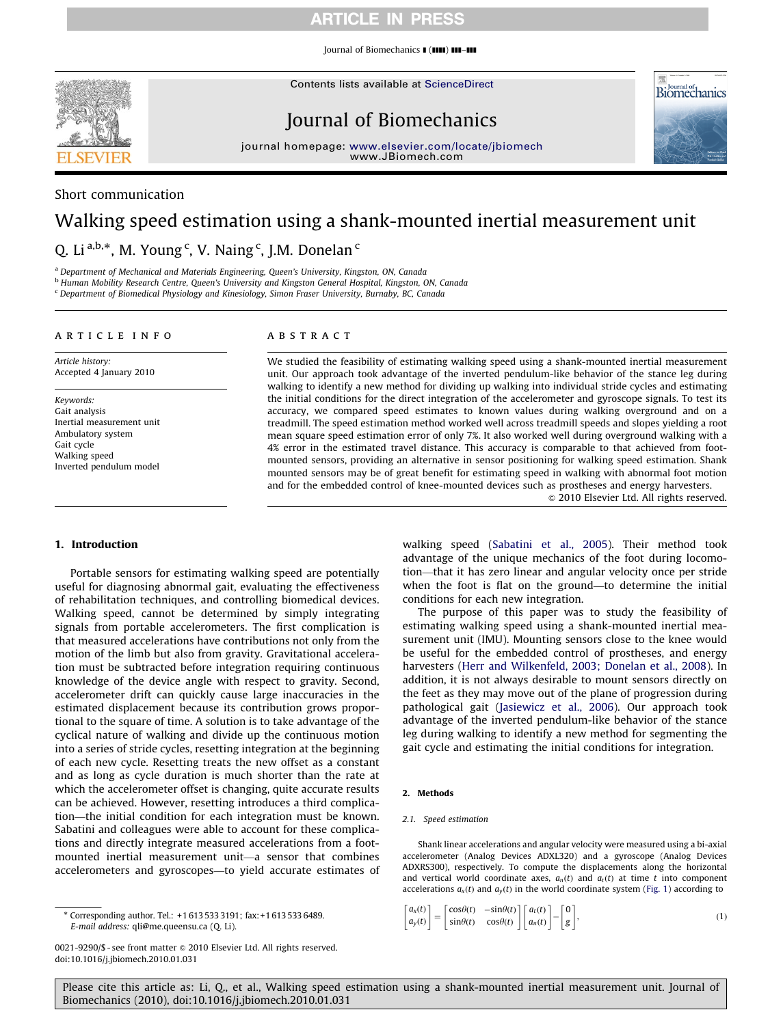# ARTICLE IN PRESS

Journal of Biomechanics  $\blacksquare$  ( $\blacksquare\blacksquare$ )  $\blacksquare\blacksquare$ 



Contents lists available at ScienceDirect

# Journal of Biomechanics

journal homepage: <www.elsevier.com/locate/jbiomech> www.JBiomech.com

### Short communication

# Walking speed estimation using a shank-mounted inertial measurement unit

Q. Li <sup>a,b,</sup>\*, M. Young <sup>c</sup>, V. Naing <sup>c</sup>, J.M. Donelan <sup>c</sup>

<sup>a</sup> Department of Mechanical and Materials Engineering, Queen's University, Kingston, ON, Canada

<sup>b</sup> Human Mobility Research Centre, Queen's University and Kingston General Hospital, Kingston, ON, Canada

<sup>c</sup> Department of Biomedical Physiology and Kinesiology, Simon Fraser University, Burnaby, BC, Canada

#### article info

Article history: Accepted 4 January 2010

Keywords: Gait analysis Inertial measurement unit Ambulatory system Gait cycle Walking speed Inverted pendulum model

### ABSTRACT

We studied the feasibility of estimating walking speed using a shank-mounted inertial measurement unit. Our approach took advantage of the inverted pendulum-like behavior of the stance leg during walking to identify a new method for dividing up walking into individual stride cycles and estimating the initial conditions for the direct integration of the accelerometer and gyroscope signals. To test its accuracy, we compared speed estimates to known values during walking overground and on a treadmill. The speed estimation method worked well across treadmill speeds and slopes yielding a root mean square speed estimation error of only 7%. It also worked well during overground walking with a 4% error in the estimated travel distance. This accuracy is comparable to that achieved from footmounted sensors, providing an alternative in sensor positioning for walking speed estimation. Shank mounted sensors may be of great benefit for estimating speed in walking with abnormal foot motion and for the embedded control of knee-mounted devices such as prostheses and energy harvesters.

 $\odot$  2010 Elsevier Ltd. All rights reserved.

Biomechanics

#### 1. Introduction

Portable sensors for estimating walking speed are potentially useful for diagnosing abnormal gait, evaluating the effectiveness of rehabilitation techniques, and controlling biomedical devices. Walking speed, cannot be determined by simply integrating signals from portable accelerometers. The first complication is that measured accelerations have contributions not only from the motion of the limb but also from gravity. Gravitational acceleration must be subtracted before integration requiring continuous knowledge of the device angle with respect to gravity. Second, accelerometer drift can quickly cause large inaccuracies in the estimated displacement because its contribution grows proportional to the square of time. A solution is to take advantage of the cyclical nature of walking and divide up the continuous motion into a series of stride cycles, resetting integration at the beginning of each new cycle. Resetting treats the new offset as a constant and as long as cycle duration is much shorter than the rate at which the accelerometer offset is changing, quite accurate results can be achieved. However, resetting introduces a third complication—the initial condition for each integration must be known. Sabatini and colleagues were able to account for these complications and directly integrate measured accelerations from a footmounted inertial measurement unit—a sensor that combines accelerometers and gyroscopes—to yield accurate estimates of

- Corresponding author. Tel.: +1 613 533 3191; fax:+1 613 533 6489. E-mail address: [qli@me.queensu.ca \(Q. Li\).](mailto:qli@me.queensu.ca)

0021-9290/\$ - see front matter  $\odot$  2010 Elsevier Ltd. All rights reserved. doi:[10.1016/j.jbiomech.2010.01.031](dx.doi.org/10.1016/j.jbiomech.2010.01.031)

walking speed [\(Sabatini et al., 2005](#page-3-0)). Their method took advantage of the unique mechanics of the foot during locomotion—that it has zero linear and angular velocity once per stride when the foot is flat on the ground—to determine the initial conditions for each new integration.

The purpose of this paper was to study the feasibility of estimating walking speed using a shank-mounted inertial measurement unit (IMU). Mounting sensors close to the knee would be useful for the embedded control of prostheses, and energy harvesters ([Herr and Wilkenfeld, 2003; Donelan et al., 2008\)](#page-3-0). In addition, it is not always desirable to mount sensors directly on the feet as they may move out of the plane of progression during pathological gait ([Jasiewicz et al., 2006\)](#page-3-0). Our approach took advantage of the inverted pendulum-like behavior of the stance leg during walking to identify a new method for segmenting the gait cycle and estimating the initial conditions for integration.

#### 2. Methods

" #

#### 2.1. Speed estimation

Shank linear accelerations and angular velocity were measured using a bi-axial accelerometer (Analog Devices ADXL320) and a gyroscope (Analog Devices ADXRS300), respectively. To compute the displacements along the horizontal and vertical world coordinate axes,  $a_n(t)$  and  $a_t(t)$  at time t into component accelerations  $a_x(t)$  and  $a_y(t)$  in the world coordinate system [\(Fig. 1\)](#page-1-0) according to

$$
\begin{bmatrix} a_x(t) \\ a_y(t) \end{bmatrix} = \begin{bmatrix} \cos\theta(t) & -\sin\theta(t) \\ \sin\theta(t) & \cos\theta(t) \end{bmatrix} \begin{bmatrix} a_t(t) \\ a_n(t) \end{bmatrix} - \begin{bmatrix} 0 \\ g \end{bmatrix},
$$
\n(1)

Please cite this article as: Li, Q., et al., Walking speed estimation using a shank-mounted inertial measurement unit. Journal of Biomechanics (2010), doi:[10.1016/j.jbiomech.2010.01.031](dx.doi.org/10.1016/j.jbiomech.2010.01.031)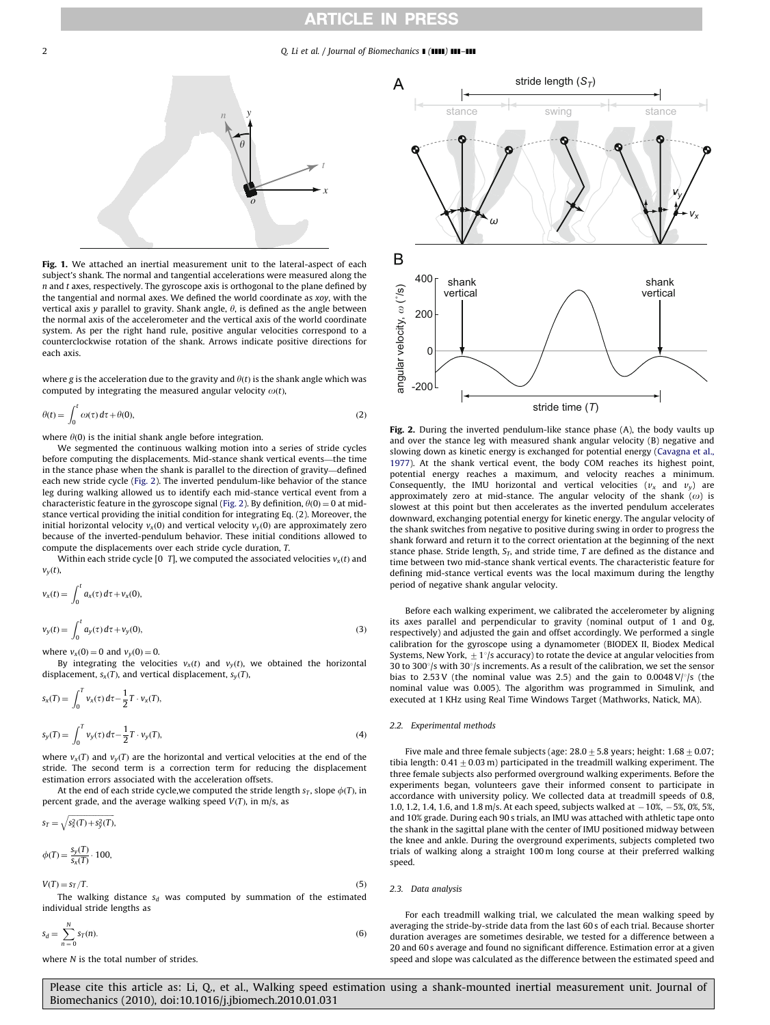## ARTICLE IN PRESS

#### <span id="page-1-0"></span>2 Q. Li et al. / Journal of Biomechanics ] (]]]]) ]]]–]]]



Fig. 1. We attached an inertial measurement unit to the lateral-aspect of each subject's shank. The normal and tangential accelerations were measured along the  $n$  and  $t$  axes, respectively. The gyroscope axis is orthogonal to the plane defined by the tangential and normal axes. We defined the world coordinate as xoy, with the vertical axis y parallel to gravity. Shank angle,  $\theta$ , is defined as the angle between the normal axis of the accelerometer and the vertical axis of the world coordinate system. As per the right hand rule, positive angular velocities correspond to a counterclockwise rotation of the shank. Arrows indicate positive directions for each axis.

where g is the acceleration due to the gravity and  $\theta(t)$  is the shank angle which was computed by integrating the measured angular velocity  $\omega(t)$ ,

$$
\theta(t) = \int_0^t \omega(\tau) d\tau + \theta(0),\tag{2}
$$

where  $\theta(0)$  is the initial shank angle before integration.

We segmented the continuous walking motion into a series of stride cycles before computing the displacements. Mid-stance shank vertical events—the time in the stance phase when the shank is parallel to the direction of gravity—defined each new stride cycle (Fig. 2). The inverted pendulum-like behavior of the stance leg during walking allowed us to identify each mid-stance vertical event from a characteristic feature in the gyroscope signal (Fig. 2). By definition,  $\theta(0) = 0$  at midstance vertical providing the initial condition for integrating Eq. (2). Moreover, the initial horizontal velocity  $v_x(0)$  and vertical velocity  $v_y(0)$  are approximately zero because of the inverted-pendulum behavior. These initial conditions allowed to compute the displacements over each stride cycle duration, T.

Within each stride cycle [0 T], we computed the associated velocities  $v_x(t)$  and  $v_y(t)$ ,

$$
v_x(t) = \int_0^t a_x(\tau) d\tau + v_x(0),
$$
  

$$
v_y(t) = \int_0^t a_y(\tau) d\tau + v_y(0),
$$
 (3)

where  $v_y(0) = 0$  and  $v_y(0) = 0$ .

By integrating the velocities  $v_x(t)$  and  $v_y(t)$ , we obtained the horizontal displacement,  $s_x(T)$ , and vertical displacement,  $s_y(T)$ ,

$$
s_x(T) = \int_0^T v_x(\tau) d\tau - \frac{1}{2} T \cdot v_x(T),
$$
  
\n
$$
s_y(T) = \int_0^T v_y(\tau) d\tau - \frac{1}{2} T \cdot v_y(T),
$$
\n(4)

where  $v_x(T)$  and  $v_y(T)$  are the horizontal and vertical velocities at the end of the stride. The second term is a correction term for reducing the displacement estimation errors associated with the acceleration offsets.

At the end of each stride cycle, we computed the stride length  $s_T$ , slope  $\phi(T)$ , in percent grade, and the average walking speed  $V(T)$ , in m/s, as

$$
s_T = \sqrt{s_x^2(T) + s_y^2(T)},
$$
  

$$
\phi(T) = \frac{s_y(T)}{s_x(T)} \cdot 100,
$$

$$
V(T) = s_T/T.
$$
\n<sup>(5)</sup>

The walking distance  $s_d$  was computed by summation of the estimated individual stride lengths as

$$
s_d = \sum_{n=0}^{N} s_T(n). \tag{6}
$$

where N is the total number of strides.



Fig. 2. During the inverted pendulum-like stance phase (A), the body vaults up and over the stance leg with measured shank angular velocity (B) negative and slowing down as kinetic energy is exchanged for potential energy ([Cavagna et al.,](#page-3-0) [1977](#page-3-0)). At the shank vertical event, the body COM reaches its highest point, potential energy reaches a maximum, and velocity reaches a minimum. Consequently, the IMU horizontal and vertical velocities ( $v_x$  and  $v_y$ ) are approximately zero at mid-stance. The angular velocity of the shank  $(\omega)$  is slowest at this point but then accelerates as the inverted pendulum accelerates downward, exchanging potential energy for kinetic energy. The angular velocity of the shank switches from negative to positive during swing in order to progress the shank forward and return it to the correct orientation at the beginning of the next stance phase. Stride length,  $S_T$ , and stride time, T are defined as the distance and time between two mid-stance shank vertical events. The characteristic feature for defining mid-stance vertical events was the local maximum during the lengthy period of negative shank angular velocity.

Before each walking experiment, we calibrated the accelerometer by aligning its axes parallel and perpendicular to gravity (nominal output of  $1$  and  $0g$ , respectively) and adjusted the gain and offset accordingly. We performed a single calibration for the gyroscope using a dynamometer (BIODEX II, Biodex Medical Systems, New York,  $\pm 1^{\circ}/s$  accuracy) to rotate the device at angular velocities from 30 to 300 $\degree$ /s with 30 $\degree$ /s increments. As a result of the calibration, we set the sensor bias to 2.53 V (the nominal value was 2.5) and the gain to  $0.0048$  V/ $\textdegree$ /s (the nominal value was 0.005). The algorithm was programmed in Simulink, and executed at 1 KHz using Real Time Windows Target (Mathworks, Natick, MA).

#### 2.2. Experimental methods

Five male and three female subjects (age:  $28.0 \pm 5.8$  years; height:  $1.68 \pm 0.07$ ; tibia length:  $0.41\pm0.03$  m) participated in the treadmill walking experiment. The three female subjects also performed overground walking experiments. Before the experiments began, volunteers gave their informed consent to participate in accordance with university policy. We collected data at treadmill speeds of 0.8, 1.0, 1.2, 1.4, 1.6, and 1.8 m/s. At each speed, subjects walked at  $-10\%$ ,  $-5\%$ , 0%, 5%, and 10% grade. During each 90 s trials, an IMU was attached with athletic tape onto the shank in the sagittal plane with the center of IMU positioned midway between the knee and ankle. During the overground experiments, subjects completed two trials of walking along a straight 100 m long course at their preferred walking speed.

#### 2.3. Data analysis

For each treadmill walking trial, we calculated the mean walking speed by averaging the stride-by-stride data from the last 60 s of each trial. Because shorter duration averages are sometimes desirable, we tested for a difference between a 20 and 60 s average and found no significant difference. Estimation error at a given speed and slope was calculated as the difference between the estimated speed and

Please cite this article as: Li, Q., et al., Walking speed estimation using a shank-mounted inertial measurement unit. Journal of Biomechanics (2010), doi:[10.1016/j.jbiomech.2010.01.031](dx.doi.org/10.1016/j.jbiomech.2010.01.031)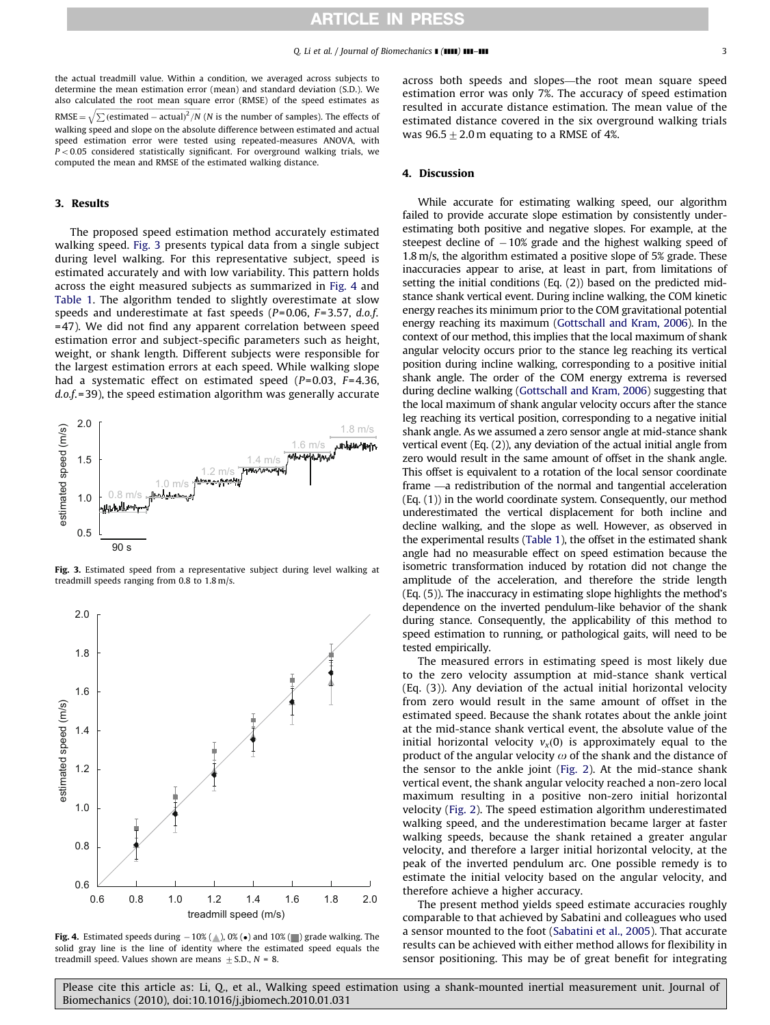the actual treadmill value. Within a condition, we averaged across subjects to determine the mean estimation error (mean) and standard deviation (S.D.). We also calculated the root mean square error (RMSE) of the speed estimates as RMSE =  $\sqrt{\sum$  (estimated – actual)<sup>2</sup>/N (N is the number of samples). The effects of

walking speed and slope on the absolute difference between estimated and actual speed estimation error were tested using repeated-measures ANOVA, with  $P < 0.05$  considered statistically significant. For overground walking trials, we computed the mean and RMSE of the estimated walking distance.

#### 3. Results

The proposed speed estimation method accurately estimated walking speed. Fig. 3 presents typical data from a single subject during level walking. For this representative subject, speed is estimated accurately and with low variability. This pattern holds across the eight measured subjects as summarized in Fig. 4 and [Table 1.](#page-3-0) The algorithm tended to slightly overestimate at slow speeds and underestimate at fast speeds  $(P=0.06, F=3.57, d.o.f.$ =47). We did not find any apparent correlation between speed estimation error and subject-specific parameters such as height, weight, or shank length. Different subjects were responsible for the largest estimation errors at each speed. While walking slope had a systematic effect on estimated speed  $(P=0.03, F=4.36,$ d.o.f.=39), the speed estimation algorithm was generally accurate



Fig. 3. Estimated speed from a representative subject during level walking at treadmill speeds ranging from 0.8 to 1.8 m/s.



**Fig. 4.** Estimated speeds during  $-10\%$  ( $\land$ ), 0% ( $\bullet$ ) and 10% ( $\Box$ ) grade walking. The solid gray line is the line of identity where the estimated speed equals the treadmill speed. Values shown are means  $\pm$  S.D., N = 8.

across both speeds and slopes—the root mean square speed estimation error was only 7%. The accuracy of speed estimation resulted in accurate distance estimation. The mean value of the estimated distance covered in the six overground walking trials was  $96.5 \pm 2.0$  m equating to a RMSE of 4%.

#### 4. Discussion

While accurate for estimating walking speed, our algorithm failed to provide accurate slope estimation by consistently underestimating both positive and negative slopes. For example, at the steepest decline of  $-10\%$  grade and the highest walking speed of 1.8m/s, the algorithm estimated a positive slope of 5% grade. These inaccuracies appear to arise, at least in part, from limitations of setting the initial conditions (Eq. (2)) based on the predicted midstance shank vertical event. During incline walking, the COM kinetic energy reaches its minimum prior to the COM gravitational potential energy reaching its maximum [\(Gottschall and Kram, 2006](#page-3-0)). In the context of our method, this implies that the local maximum of shank angular velocity occurs prior to the stance leg reaching its vertical position during incline walking, corresponding to a positive initial shank angle. The order of the COM energy extrema is reversed during decline walking [\(Gottschall and Kram, 2006\)](#page-3-0) suggesting that the local maximum of shank angular velocity occurs after the stance leg reaching its vertical position, corresponding to a negative initial shank angle. As we assumed a zero sensor angle at mid-stance shank vertical event (Eq. (2)), any deviation of the actual initial angle from zero would result in the same amount of offset in the shank angle. This offset is equivalent to a rotation of the local sensor coordinate frame —a redistribution of the normal and tangential acceleration (Eq. (1)) in the world coordinate system. Consequently, our method underestimated the vertical displacement for both incline and decline walking, and the slope as well. However, as observed in the experimental results [\(Table 1\)](#page-3-0), the offset in the estimated shank angle had no measurable effect on speed estimation because the isometric transformation induced by rotation did not change the amplitude of the acceleration, and therefore the stride length (Eq. (5)). The inaccuracy in estimating slope highlights the method's dependence on the inverted pendulum-like behavior of the shank during stance. Consequently, the applicability of this method to speed estimation to running, or pathological gaits, will need to be tested empirically.

The measured errors in estimating speed is most likely due to the zero velocity assumption at mid-stance shank vertical (Eq. (3)). Any deviation of the actual initial horizontal velocity from zero would result in the same amount of offset in the estimated speed. Because the shank rotates about the ankle joint at the mid-stance shank vertical event, the absolute value of the initial horizontal velocity  $v_x(0)$  is approximately equal to the product of the angular velocity  $\omega$  of the shank and the distance of the sensor to the ankle joint ([Fig. 2\)](#page-1-0). At the mid-stance shank vertical event, the shank angular velocity reached a non-zero local maximum resulting in a positive non-zero initial horizontal velocity ([Fig. 2](#page-1-0)). The speed estimation algorithm underestimated walking speed, and the underestimation became larger at faster walking speeds, because the shank retained a greater angular velocity, and therefore a larger initial horizontal velocity, at the peak of the inverted pendulum arc. One possible remedy is to estimate the initial velocity based on the angular velocity, and therefore achieve a higher accuracy.

The present method yields speed estimate accuracies roughly comparable to that achieved by Sabatini and colleagues who used a sensor mounted to the foot [\(Sabatini et al., 2005](#page-3-0)). That accurate results can be achieved with either method allows for flexibility in sensor positioning. This may be of great benefit for integrating

Please cite this article as: Li, Q., et al., Walking speed estimation using a shank-mounted inertial measurement unit. Journal of Biomechanics (2010), doi:[10.1016/j.jbiomech.2010.01.031](dx.doi.org/10.1016/j.jbiomech.2010.01.031)